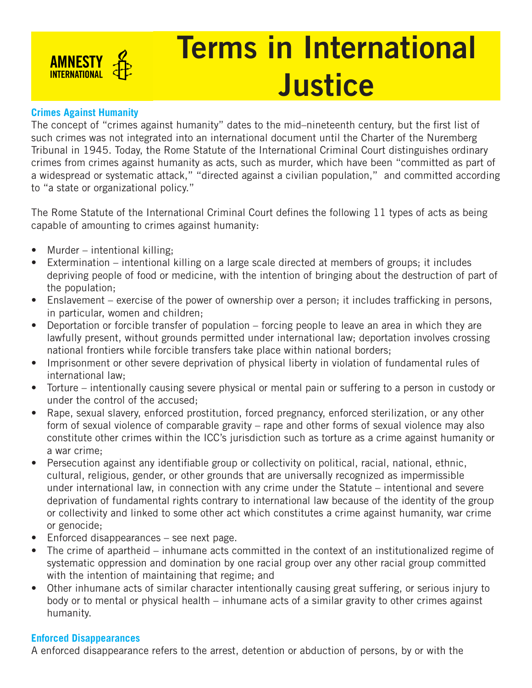

# Terms in International **Justice**

### **Crimes Against Humanity**

The concept of "crimes against humanity" dates to the mid–nineteenth century, but the first list of such crimes was not integrated into an international document until the Charter of the Nuremberg Tribunal in 1945. Today, the Rome Statute of the International Criminal Court distinguishes ordinary crimes from crimes against humanity as acts, such as murder, which have been "committed as part of a widespread or systematic attack," "directed against a civilian population," and committed according to "a state or organizational policy."

The Rome Statute of the International Criminal Court defines the following 11 types of acts as being capable of amounting to crimes against humanity:

- Murder intentional killing;
- Extermination intentional killing on a large scale directed at members of groups; it includes depriving people of food or medicine, with the intention of bringing about the destruction of part of the population;
- Enslavement exercise of the power of ownership over a person; it includes trafficking in persons, in particular, women and children;
- Deportation or forcible transfer of population forcing people to leave an area in which they are lawfully present, without grounds permitted under international law; deportation involves crossing national frontiers while forcible transfers take place within national borders;
- Imprisonment or other severe deprivation of physical liberty in violation of fundamental rules of international law;
- Torture intentionally causing severe physical or mental pain or suffering to a person in custody or under the control of the accused;
- Rape, sexual slavery, enforced prostitution, forced pregnancy, enforced sterilization, or any other form of sexual violence of comparable gravity – rape and other forms of sexual violence may also constitute other crimes within the ICC's jurisdiction such as torture as a crime against humanity or a war crime;
- Persecution against any identifiable group or collectivity on political, racial, national, ethnic, cultural, religious, gender, or other grounds that are universally recognized as impermissible under international law, in connection with any crime under the Statute – intentional and severe deprivation of fundamental rights contrary to international law because of the identity of the group or collectivity and linked to some other act which constitutes a crime against humanity, war crime or genocide;
- Enforced disappearances see next page.
- The crime of apartheid inhumane acts committed in the context of an institutionalized regime of systematic oppression and domination by one racial group over any other racial group committed with the intention of maintaining that regime; and
- Other inhumane acts of similar character intentionally causing great suffering, or serious injury to body or to mental or physical health – inhumane acts of a similar gravity to other crimes against humanity.

## **Enforced Disappearances**

A enforced disappearance refers to the arrest, detention or abduction of persons, by or with the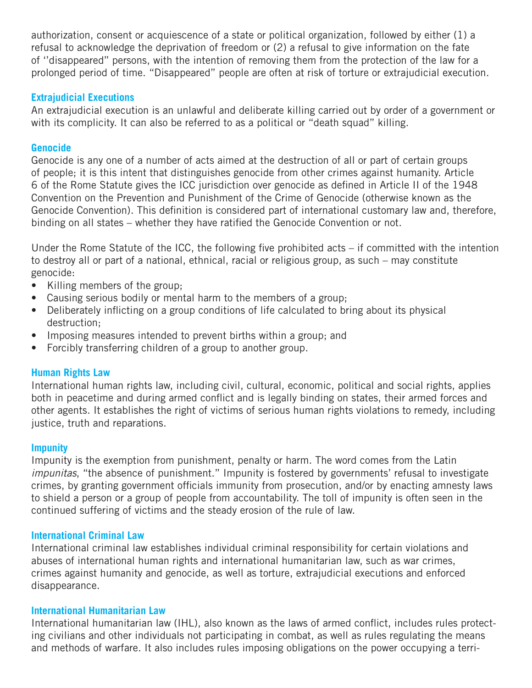authorization, consent or acquiescence of a state or political organization, followed by either (1) a refusal to acknowledge the deprivation of freedom or (2) a refusal to give information on the fate of ''disappeared'' persons, with the intention of removing them from the protection of the law for a prolonged period of time. "Disappeared" people are often at risk of torture or extrajudicial execution.

#### **Extrajudicial Executions**

An extrajudicial execution is an unlawful and deliberate killing carried out by order of a government or with its complicity. It can also be referred to as a political or "death squad" killing.

#### **Genocide**

Genocide is any one of a number of acts aimed at the destruction of all or part of certain groups of people; it is this intent that distinguishes genocide from other crimes against humanity. Article 6 of the Rome Statute gives the ICC jurisdiction over genocide as defined in Article II of the 1948 Convention on the Prevention and Punishment of the Crime of Genocide (otherwise known as the Genocide Convention). This definition is considered part of international customary law and, therefore, binding on all states – whether they have ratified the Genocide Convention or not.

Under the Rome Statute of the ICC, the following five prohibited acts – if committed with the intention to destroy all or part of a national, ethnical, racial or religious group, as such – may constitute genocide:

- Killing members of the group;
- Causing serious bodily or mental harm to the members of a group;
- Deliberately inflicting on a group conditions of life calculated to bring about its physical destruction;
- Imposing measures intended to prevent births within a group; and
- Forcibly transferring children of a group to another group.

#### **Human Rights Law**

International human rights law, including civil, cultural, economic, political and social rights, applies both in peacetime and during armed conflict and is legally binding on states, their armed forces and other agents. It establishes the right of victims of serious human rights violations to remedy, including justice, truth and reparations.

#### **Impunity**

Impunity is the exemption from punishment, penalty or harm. The word comes from the Latin *impunitas*, "the absence of punishment." Impunity is fostered by governments' refusal to investigate crimes, by granting government officials immunity from prosecution, and/or by enacting amnesty laws to shield a person or a group of people from accountability. The toll of impunity is often seen in the continued suffering of victims and the steady erosion of the rule of law.

#### **International Criminal Law**

International criminal law establishes individual criminal responsibility for certain violations and abuses of international human rights and international humanitarian law, such as war crimes, crimes against humanity and genocide, as well as torture, extrajudicial executions and enforced disappearance.

#### **International Humanitarian Law**

International humanitarian law (IHL), also known as the laws of armed conflict, includes rules protecting civilians and other individuals not participating in combat, as well as rules regulating the means and methods of warfare. It also includes rules imposing obligations on the power occupying a terri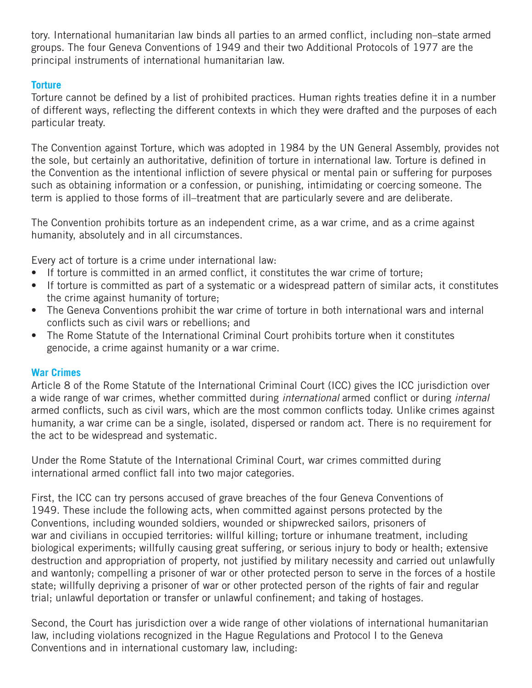tory. International humanitarian law binds all parties to an armed conflict, including non–state armed groups. The four Geneva Conventions of 1949 and their two Additional Protocols of 1977 are the principal instruments of international humanitarian law.

## **Torture**

Torture cannot be defined by a list of prohibited practices. Human rights treaties define it in a number of different ways, reflecting the different contexts in which they were drafted and the purposes of each particular treaty.

The Convention against Torture, which was adopted in 1984 by the UN General Assembly, provides not the sole, but certainly an authoritative, definition of torture in international law. Torture is defined in the Convention as the intentional infliction of severe physical or mental pain or suffering for purposes such as obtaining information or a confession, or punishing, intimidating or coercing someone. The term is applied to those forms of ill–treatment that are particularly severe and are deliberate.

The Convention prohibits torture as an independent crime, as a war crime, and as a crime against humanity, absolutely and in all circumstances.

Every act of torture is a crime under international law:

- If torture is committed in an armed conflict, it constitutes the war crime of torture;
- If torture is committed as part of a systematic or a widespread pattern of similar acts, it constitutes the crime against humanity of torture;
- The Geneva Conventions prohibit the war crime of torture in both international wars and internal conflicts such as civil wars or rebellions; and
- The Rome Statute of the International Criminal Court prohibits torture when it constitutes genocide, a crime against humanity or a war crime.

## **War Crimes**

Article 8 of the Rome Statute of the International Criminal Court (ICC) gives the ICC jurisdiction over a wide range of war crimes, whether committed during *international* armed conflict or during *internal* armed conflicts, such as civil wars, which are the most common conflicts today. Unlike crimes against humanity, a war crime can be a single, isolated, dispersed or random act. There is no requirement for the act to be widespread and systematic.

Under the Rome Statute of the International Criminal Court, war crimes committed during international armed conflict fall into two major categories.

First, the ICC can try persons accused of grave breaches of the four Geneva Conventions of 1949. These include the following acts, when committed against persons protected by the Conventions, including wounded soldiers, wounded or shipwrecked sailors, prisoners of war and civilians in occupied territories: willful killing; torture or inhumane treatment, including biological experiments; willfully causing great suffering, or serious injury to body or health; extensive destruction and appropriation of property, not justified by military necessity and carried out unlawfully and wantonly; compelling a prisoner of war or other protected person to serve in the forces of a hostile state; willfully depriving a prisoner of war or other protected person of the rights of fair and regular trial; unlawful deportation or transfer or unlawful confinement; and taking of hostages.

Second, the Court has jurisdiction over a wide range of other violations of international humanitarian law, including violations recognized in the Hague Regulations and Protocol I to the Geneva Conventions and in international customary law, including: